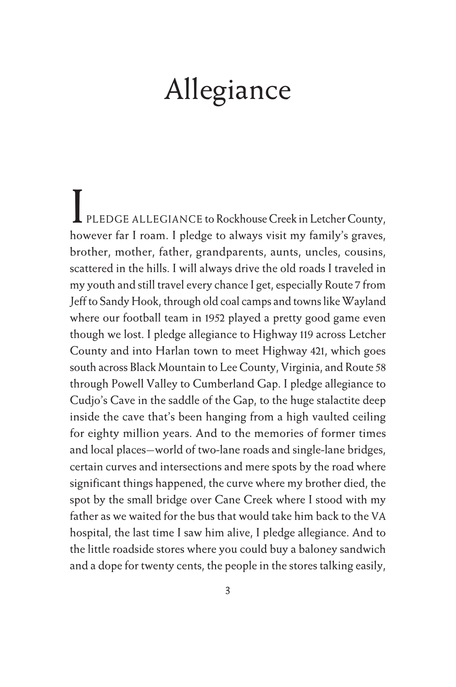# Allegiance

I<br>PLEDGE ALLEGIANCE to Rockhouse Creek in Letcher County, however far I roam. I pledge to always visit my family's graves, brother, mother, father, grandparents, aunts, uncles, cousins, scattered in the hills. I will always drive the old roads I traveled in my youth and still travel every chance I get, especially Route 7 from Jeff to Sandy Hook, through old coal camps and towns like Wayland where our football team in 1952 played a pretty good game even though we lost. I pledge allegiance to Highway 119 across Letcher County and into Harlan town to meet Highway 421, which goes south across Black Mountain to Lee County, Virginia, and Route 58 through Powell Valley to Cumberland Gap. I pledge allegiance to Cudjo's Cave in the saddle of the Gap, to the huge stalactite deep inside the cave that's been hanging from a high vaulted ceiling for eighty million years. And to the memories of former times and local places—world of two-lane roads and single-lane bridges, certain curves and intersections and mere spots by the road where significant things happened, the curve where my brother died, the spot by the small bridge over Cane Creek where I stood with my father as we waited for the bus that would take him back to the VA hospital, the last time I saw him alive, I pledge allegiance. And to the little roadside stores where you could buy a baloney sandwich and a dope for twenty cents, the people in the stores talking easily,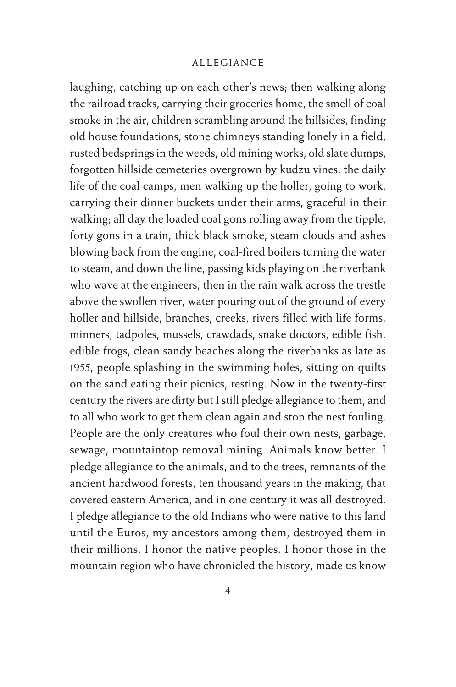#### ALLEGIANCE

laughing, catching up on each other's news; then walking along the railroad tracks, carrying their groceries home, the smell of coal smoke in the air, children scrambling around the hillsides, finding old house foundations, stone chimneys standing lonely in a field, rusted bedsprings in the weeds, old mining works, old slate dumps, forgotten hillside cemeteries overgrown by kudzu vines, the daily life of the coal camps, men walking up the holler, going to work, carrying their dinner buckets under their arms, graceful in their walking; all day the loaded coal gons rolling away from the tipple, forty gons in a train, thick black smoke, steam clouds and ashes blowing back from the engine, coal-fired boilers turning the water to steam, and down the line, passing kids playing on the riverbank who wave at the engineers, then in the rain walk across the trestle above the swollen river, water pouring out of the ground of every holler and hillside, branches, creeks, rivers filled with life forms, minners, tadpoles, mussels, crawdads, snake doctors, edible fish, edible frogs, clean sandy beaches along the riverbanks as late as 1955, people splashing in the swimming holes, sitting on quilts on the sand eating their picnics, resting. Now in the twenty-first century the rivers are dirty but I still pledge allegiance to them, and to all who work to get them clean again and stop the nest fouling. People are the only creatures who foul their own nests, garbage, sewage, mountaintop removal mining. Animals know better. I pledge allegiance to the animals, and to the trees, remnants of the ancient hardwood forests, ten thousand years in the making, that covered eastern America, and in one century it was all destroyed. I pledge allegiance to the old Indians who were native to this land until the Euros, my ancestors among them, destroyed them in their millions. I honor the native peoples. I honor those in the mountain region who have chronicled the history, made us know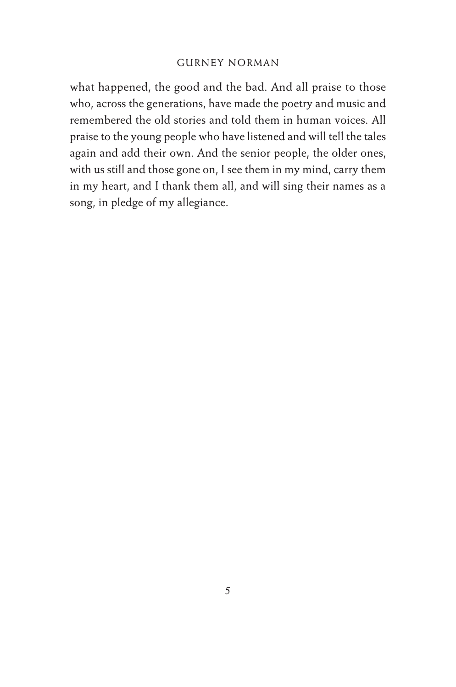### GURNEY NORMAN

what happened, the good and the bad. And all praise to those who, across the generations, have made the poetry and music and remembered the old stories and told them in human voices. All praise to the young people who have listened and will tell the tales again and add their own. And the senior people, the older ones, with us still and those gone on, I see them in my mind, carry them in my heart, and I thank them all, and will sing their names as a song, in pledge of my allegiance.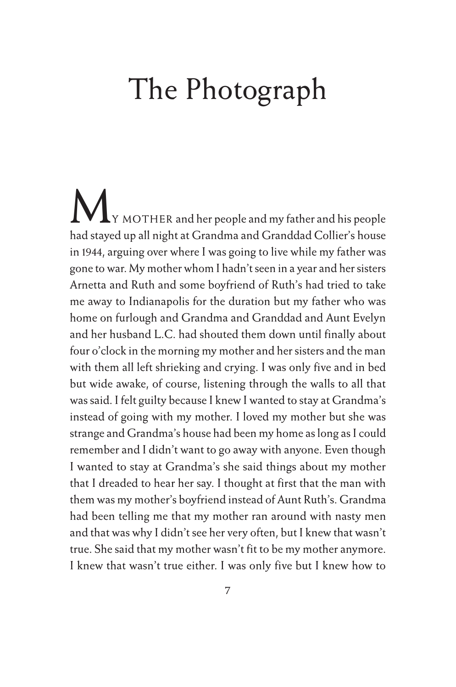# The Photograph

MY MOTHER and her people and my father and his people had stayed up all night at Grandma and Granddad Collier's house in 1944, arguing over where I was going to live while my father was gone to war. My mother whom I hadn't seen in a year and her sisters Arnetta and Ruth and some boyfriend of Ruth's had tried to take me away to Indianapolis for the duration but my father who was home on furlough and Grandma and Granddad and Aunt Evelyn and her husband L.C. had shouted them down until finally about four o'clock in the morning my mother and her sisters and the man with them all left shrieking and crying. I was only five and in bed but wide awake, of course, listening through the walls to all that was said. I felt guilty because I knew I wanted to stay at Grandma's instead of going with my mother. I loved my mother but she was strange and Grandma's house had been my home as long as I could remember and I didn't want to go away with anyone. Even though I wanted to stay at Grandma's she said things about my mother that I dreaded to hear her say. I thought at first that the man with them was my mother's boyfriend instead of Aunt Ruth's. Grandma had been telling me that my mother ran around with nasty men and that was why I didn't see her very often, but I knew that wasn't true. She said that my mother wasn't fit to be my mother anymore. I knew that wasn't true either. I was only five but I knew how to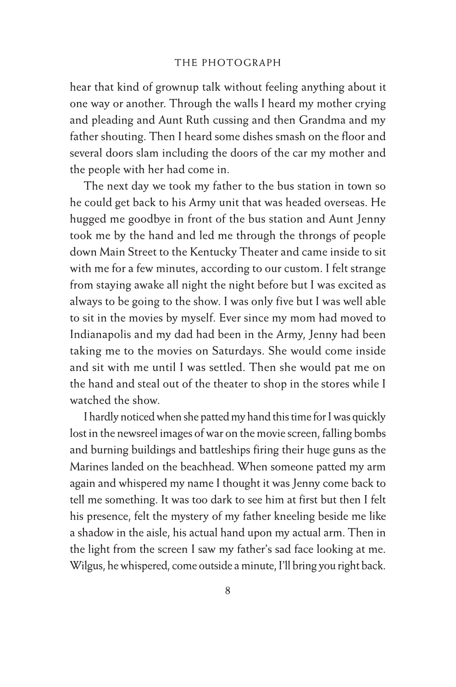hear that kind of grownup talk without feeling anything about it one way or another. Through the walls I heard my mother crying and pleading and Aunt Ruth cussing and then Grandma and my father shouting. Then I heard some dishes smash on the floor and several doors slam including the doors of the car my mother and the people with her had come in.

The next day we took my father to the bus station in town so he could get back to his Army unit that was headed overseas. He hugged me goodbye in front of the bus station and Aunt Jenny took me by the hand and led me through the throngs of people down Main Street to the Kentucky Theater and came inside to sit with me for a few minutes, according to our custom. I felt strange from staying awake all night the night before but I was excited as always to be going to the show. I was only five but I was well able to sit in the movies by myself. Ever since my mom had moved to Indianapolis and my dad had been in the Army, Jenny had been taking me to the movies on Saturdays. She would come inside and sit with me until I was settled. Then she would pat me on the hand and steal out of the theater to shop in the stores while I watched the show.

I hardly noticed when she patted my hand this time for I was quickly lost in the newsreel images of war on the movie screen, falling bombs and burning buildings and battleships firing their huge guns as the Marines landed on the beachhead. When someone patted my arm again and whispered my name I thought it was Jenny come back to tell me something. It was too dark to see him at first but then I felt his presence, felt the mystery of my father kneeling beside me like a shadow in the aisle, his actual hand upon my actual arm. Then in the light from the screen I saw my father's sad face looking at me. Wilgus, he whispered, come outside a minute, I'll bring you right back.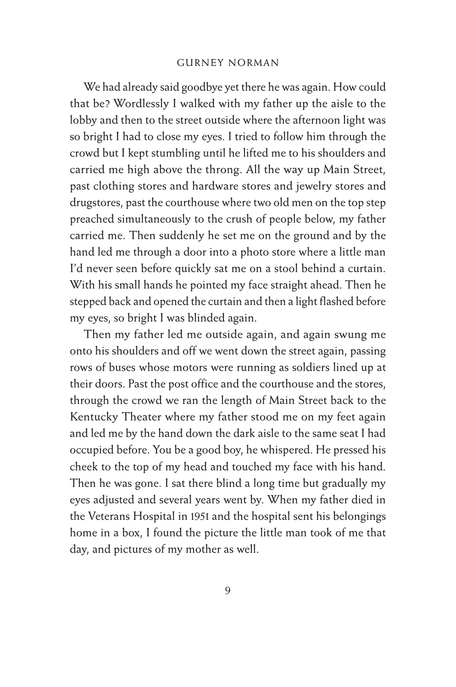We had already said goodbye yet there he was again. How could that be? Wordlessly I walked with my father up the aisle to the lobby and then to the street outside where the afternoon light was so bright I had to close my eyes. I tried to follow him through the crowd but I kept stumbling until he lifted me to his shoulders and carried me high above the throng. All the way up Main Street, past clothing stores and hardware stores and jewelry stores and drugstores, past the courthouse where two old men on the top step preached simultaneously to the crush of people below, my father carried me. Then suddenly he set me on the ground and by the hand led me through a door into a photo store where a little man I'd never seen before quickly sat me on a stool behind a curtain. With his small hands he pointed my face straight ahead. Then he stepped back and opened the curtain and then a light flashed before my eyes, so bright I was blinded again.

Then my father led me outside again, and again swung me onto his shoulders and off we went down the street again, passing rows of buses whose motors were running as soldiers lined up at their doors. Past the post office and the courthouse and the stores, through the crowd we ran the length of Main Street back to the Kentucky Theater where my father stood me on my feet again and led me by the hand down the dark aisle to the same seat I had occupied before. You be a good boy, he whispered. He pressed his cheek to the top of my head and touched my face with his hand. Then he was gone. I sat there blind a long time but gradually my eyes adjusted and several years went by. When my father died in the Veterans Hospital in 1951 and the hospital sent his belongings home in a box, I found the picture the little man took of me that day, and pictures of my mother as well.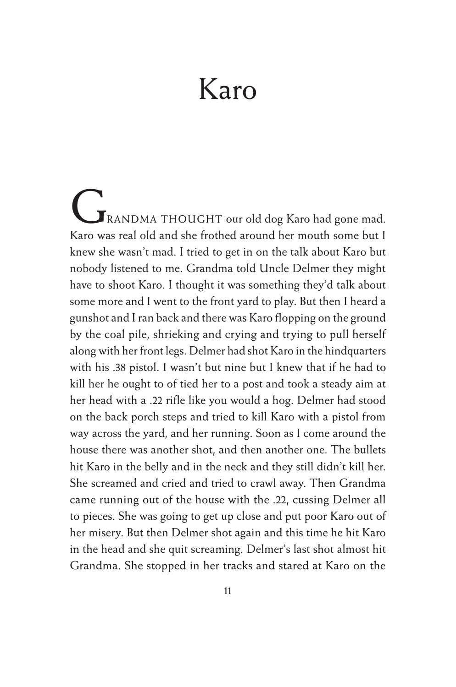## Karo

 $\blacksquare$ RANDMA THOUGHT our old dog Karo had gone mad. Karo was real old and she frothed around her mouth some but I knew she wasn't mad. I tried to get in on the talk about Karo but nobody listened to me. Grandma told Uncle Delmer they might have to shoot Karo. I thought it was something they'd talk about some more and I went to the front yard to play. But then I heard a gunshot and I ran back and there was Karo flopping on the ground by the coal pile, shrieking and crying and trying to pull herself along with her front legs. Delmer had shot Karo in the hindquarters with his .38 pistol. I wasn't but nine but I knew that if he had to kill her he ought to of tied her to a post and took a steady aim at her head with a .22 rifle like you would a hog. Delmer had stood on the back porch steps and tried to kill Karo with a pistol from way across the yard, and her running. Soon as I come around the house there was another shot, and then another one. The bullets hit Karo in the belly and in the neck and they still didn't kill her. She screamed and cried and tried to crawl away. Then Grandma came running out of the house with the .22, cussing Delmer all to pieces. She was going to get up close and put poor Karo out of her misery. But then Delmer shot again and this time he hit Karo in the head and she quit screaming. Delmer's last shot almost hit Grandma. She stopped in her tracks and stared at Karo on the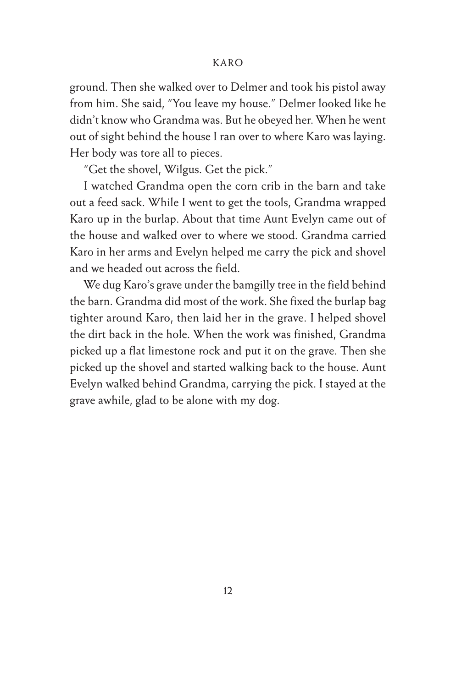#### KARO

ground. Then she walked over to Delmer and took his pistol away from him. She said, "You leave my house." Delmer looked like he didn't know who Grandma was. But he obeyed her. When he went out of sight behind the house I ran over to where Karo was laying. Her body was tore all to pieces.

"Get the shovel, Wilgus. Get the pick."

I watched Grandma open the corn crib in the barn and take out a feed sack. While I went to get the tools, Grandma wrapped Karo up in the burlap. About that time Aunt Evelyn came out of the house and walked over to where we stood. Grandma carried Karo in her arms and Evelyn helped me carry the pick and shovel and we headed out across the field.

We dug Karo's grave under the bamgilly tree in the field behind the barn. Grandma did most of the work. She fixed the burlap bag tighter around Karo, then laid her in the grave. I helped shovel the dirt back in the hole. When the work was finished, Grandma picked up a flat limestone rock and put it on the grave. Then she picked up the shovel and started walking back to the house. Aunt Evelyn walked behind Grandma, carrying the pick. I stayed at the grave awhile, glad to be alone with my dog.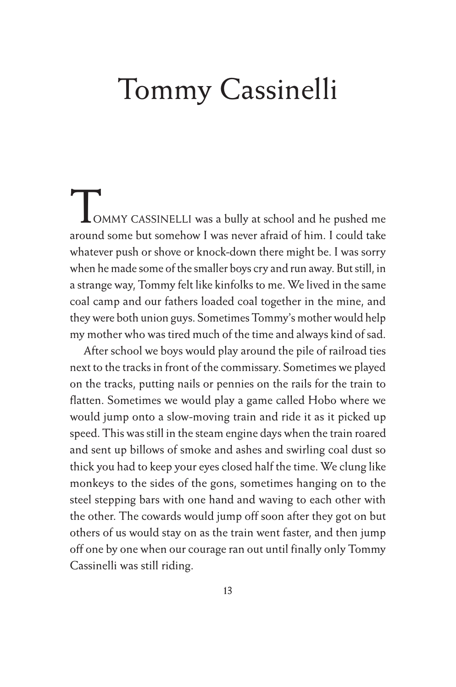## Tommy Cassinelli

TOMMY CASSINELLI was a bully at school and he pushed me around some but somehow I was never afraid of him. I could take whatever push or shove or knock-down there might be. I was sorry when he made some of the smaller boys cry and run away. But still, in a strange way, Tommy felt like kinfolks to me. We lived in the same coal camp and our fathers loaded coal together in the mine, and they were both union guys. Sometimes Tommy's mother would help my mother who was tired much of the time and always kind of sad.

After school we boys would play around the pile of railroad ties next to the tracks in front of the commissary. Sometimes we played on the tracks, putting nails or pennies on the rails for the train to flatten. Sometimes we would play a game called Hobo where we would jump onto a slow-moving train and ride it as it picked up speed. This was still in the steam engine days when the train roared and sent up billows of smoke and ashes and swirling coal dust so thick you had to keep your eyes closed half the time. We clung like monkeys to the sides of the gons, sometimes hanging on to the steel stepping bars with one hand and waving to each other with the other. The cowards would jump off soon after they got on but others of us would stay on as the train went faster, and then jump off one by one when our courage ran out until finally only Tommy Cassinelli was still riding.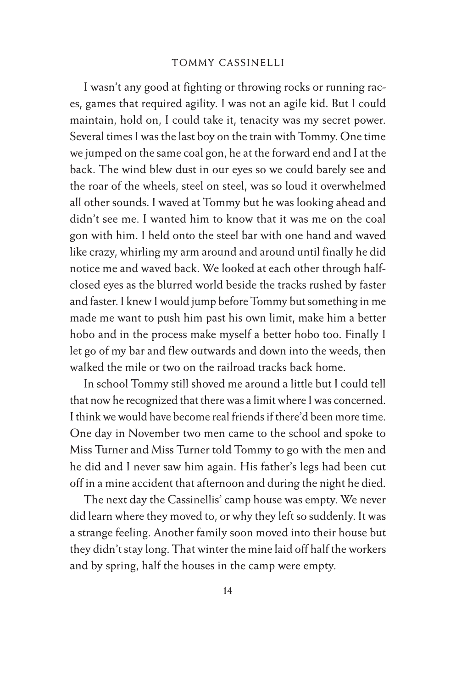### TOMMY CASSINELLI

I wasn't any good at fighting or throwing rocks or running races, games that required agility. I was not an agile kid. But I could maintain, hold on, I could take it, tenacity was my secret power. Several times I was the last boy on the train with Tommy. One time we jumped on the same coal gon, he at the forward end and I at the back. The wind blew dust in our eyes so we could barely see and the roar of the wheels, steel on steel, was so loud it overwhelmed all other sounds. I waved at Tommy but he was looking ahead and didn't see me. I wanted him to know that it was me on the coal gon with him. I held onto the steel bar with one hand and waved like crazy, whirling my arm around and around until finally he did notice me and waved back. We looked at each other through halfclosed eyes as the blurred world beside the tracks rushed by faster and faster. I knew I would jump before Tommy but something in me made me want to push him past his own limit, make him a better hobo and in the process make myself a better hobo too. Finally I let go of my bar and flew outwards and down into the weeds, then walked the mile or two on the railroad tracks back home.

In school Tommy still shoved me around a little but I could tell that now he recognized that there was a limit where I was concerned. I think we would have become real friends if there'd been more time. One day in November two men came to the school and spoke to Miss Turner and Miss Turner told Tommy to go with the men and he did and I never saw him again. His father's legs had been cut off in a mine accident that afternoon and during the night he died.

The next day the Cassinellis' camp house was empty. We never did learn where they moved to, or why they left so suddenly. It was a strange feeling. Another family soon moved into their house but they didn't stay long. That winter the mine laid off half the workers and by spring, half the houses in the camp were empty.